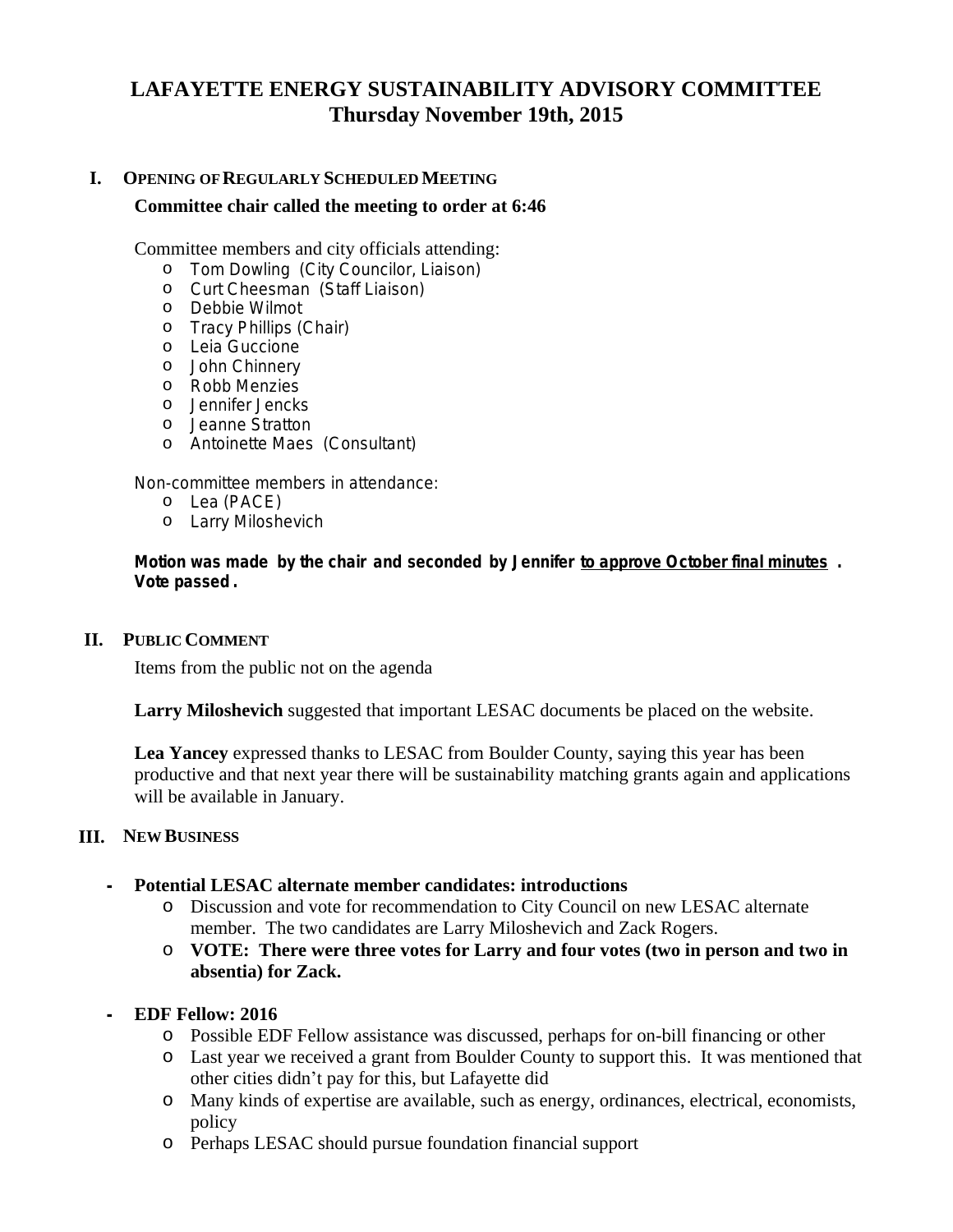# **LAFAYETTE ENERGY SUSTAINABILITY ADVISORY COMMITTEE Thursday November 19th, 2015**

# **I. OPENING OF REGULARLY SCHEDULED MEETING Committee chair called the meeting to order at 6:46**

Committee members and city officials attending:

- o Tom Dowling (City Councilor, Liaison)
- o Curt Cheesman (Staff Liaison)
- o Debbie Wilmot
- o Tracy Phillips (Chair)
- o Leia Guccione
- o John Chinnery
- o Robb Menzies
- o Jennifer Jencks
- o Jeanne Stratton
- o Antoinette Maes (Consultant)

Non-committee members in attendance:

- o Lea (PACE)
- o Larry Miloshevich

**Motion was made by the chair and seconded by Jennifer** *to approve October final minutes* **. Vote passed .**

#### **II. PUBLIC COMMENT**

Items from the public not on the agenda

**Larry Miloshevich** suggested that important LESAC documents be placed on the website.

**Lea Yancey** expressed thanks to LESAC from Boulder County, saying this year has been productive and that next year there will be sustainability matching grants again and applications will be available in January.

#### **III. NEW BUSINESS**

#### **- Potential LESAC alternate member candidates: introductions**

- o Discussion and vote for recommendation to City Council on new LESAC alternate member. The two candidates are Larry Miloshevich and Zack Rogers.
- o **VOTE: There were three votes for Larry and four votes (two in person and two in absentia) for Zack.**

#### **- EDF Fellow: 2016**

- o Possible EDF Fellow assistance was discussed, perhaps for on-bill financing or other
- o Last year we received a grant from Boulder County to support this. It was mentioned that other cities didn't pay for this, but Lafayette did
- o Many kinds of expertise are available, such as energy, ordinances, electrical, economists, policy
- o Perhaps LESAC should pursue foundation financial support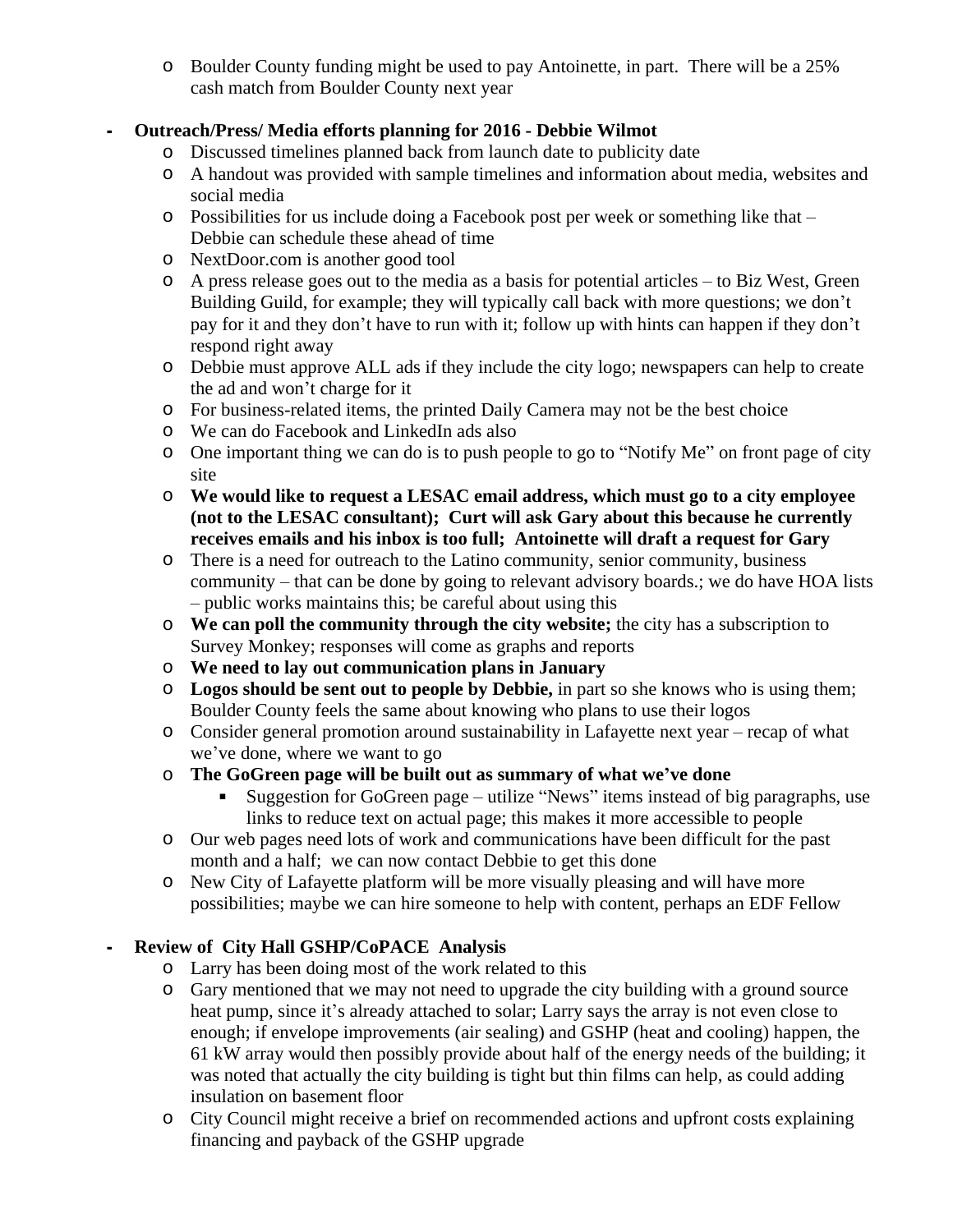o Boulder County funding might be used to pay Antoinette, in part. There will be a 25% cash match from Boulder County next year

## **- Outreach/Press/ Media efforts planning for 2016 - Debbie Wilmot**

- o Discussed timelines planned back from launch date to publicity date
- o A handout was provided with sample timelines and information about media, websites and social media
- o Possibilities for us include doing a Facebook post per week or something like that Debbie can schedule these ahead of time
- o NextDoor.com is another good tool
- o A press release goes out to the media as a basis for potential articles to Biz West, Green Building Guild, for example; they will typically call back with more questions; we don't pay for it and they don't have to run with it; follow up with hints can happen if they don't respond right away
- o Debbie must approve ALL ads if they include the city logo; newspapers can help to create the ad and won't charge for it
- o For business-related items, the printed Daily Camera may not be the best choice
- o We can do Facebook and LinkedIn ads also
- o One important thing we can do is to push people to go to "Notify Me" on front page of city site
- o **We would like to request a LESAC email address, which must go to a city employee (not to the LESAC consultant); Curt will ask Gary about this because he currently receives emails and his inbox is too full; Antoinette will draft a request for Gary**
- o There is a need for outreach to the Latino community, senior community, business community – that can be done by going to relevant advisory boards.; we do have HOA lists – public works maintains this; be careful about using this
- o **We can poll the community through the city website;** the city has a subscription to Survey Monkey; responses will come as graphs and reports
- o **We need to lay out communication plans in January**
- o **Logos should be sent out to people by Debbie,** in part so she knows who is using them; Boulder County feels the same about knowing who plans to use their logos
- o Consider general promotion around sustainability in Lafayette next year recap of what we've done, where we want to go
- o **The GoGreen page will be built out as summary of what we've done**
	- Suggestion for GoGreen page utilize "News" items instead of big paragraphs, use links to reduce text on actual page; this makes it more accessible to people
- o Our web pages need lots of work and communications have been difficult for the past month and a half; we can now contact Debbie to get this done
- o New City of Lafayette platform will be more visually pleasing and will have more possibilities; maybe we can hire someone to help with content, perhaps an EDF Fellow

# **- Review of City Hall GSHP/CoPACE Analysis**

- o Larry has been doing most of the work related to this
- o Gary mentioned that we may not need to upgrade the city building with a ground source heat pump, since it's already attached to solar; Larry says the array is not even close to enough; if envelope improvements (air sealing) and GSHP (heat and cooling) happen, the 61 kW array would then possibly provide about half of the energy needs of the building; it was noted that actually the city building is tight but thin films can help, as could adding insulation on basement floor
- o City Council might receive a brief on recommended actions and upfront costs explaining financing and payback of the GSHP upgrade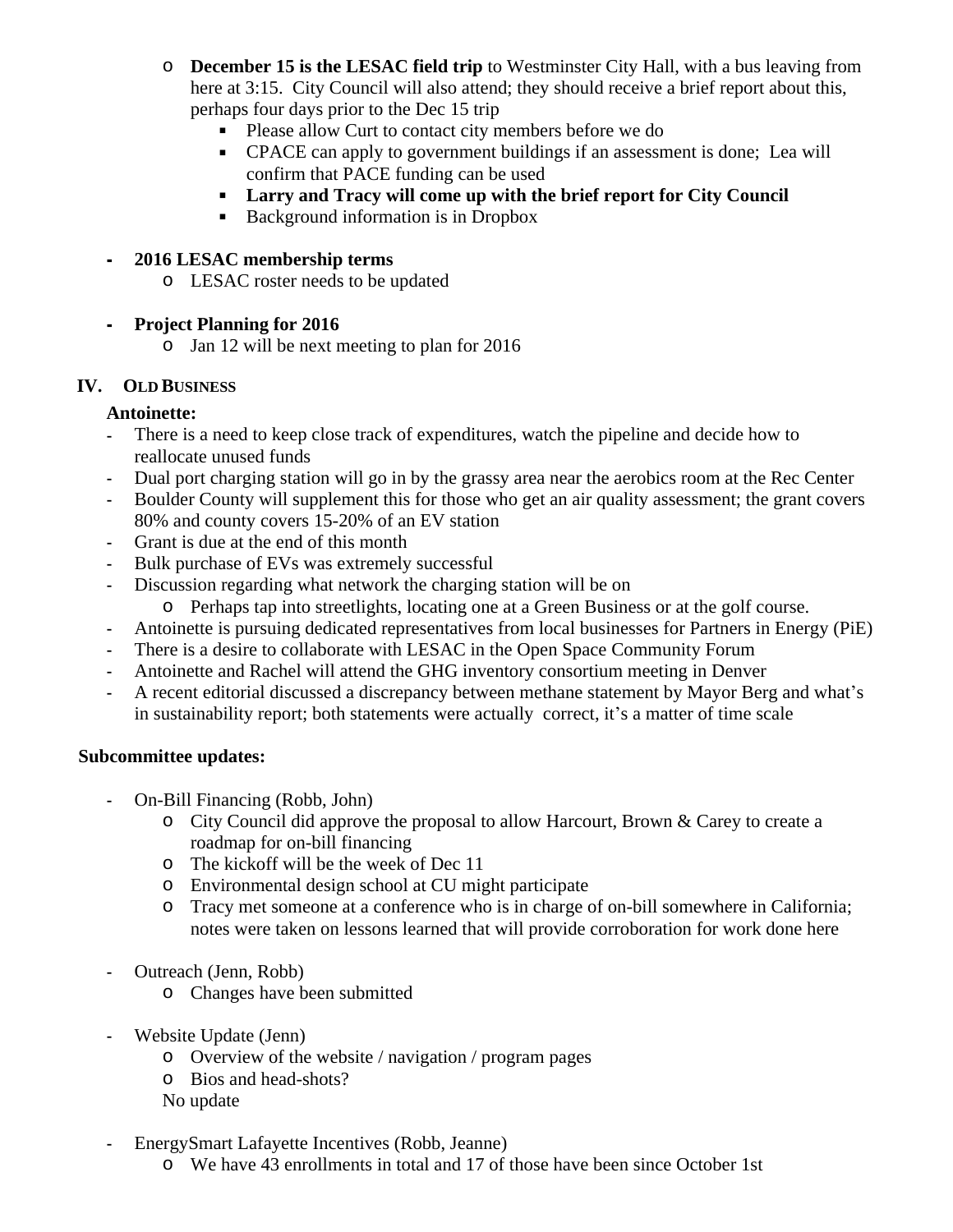- o **December 15 is the LESAC field trip** to Westminster City Hall, with a bus leaving from here at 3:15. City Council will also attend; they should receive a brief report about this, perhaps four days prior to the Dec 15 trip
	- **Please allow Curt to contact city members before we do**
	- CPACE can apply to government buildings if an assessment is done; Lea will confirm that PACE funding can be used
	- **Larry and Tracy will come up with the brief report for City Council**
	- Background information is in Dropbox

### **- 2016 LESAC membership terms**

o LESAC roster needs to be updated

#### **- Project Planning for 2016**

o Jan 12 will be next meeting to plan for 2016

#### **IV. OLD BUSINESS**

### **Antoinette:**

- There is a need to keep close track of expenditures, watch the pipeline and decide how to reallocate unused funds
- Dual port charging station will go in by the grassy area near the aerobics room at the Rec Center
- Boulder County will supplement this for those who get an air quality assessment; the grant covers 80% and county covers 15-20% of an EV station
- Grant is due at the end of this month
- Bulk purchase of EVs was extremely successful
- Discussion regarding what network the charging station will be on
	- o Perhaps tap into streetlights, locating one at a Green Business or at the golf course.
- Antoinette is pursuing dedicated representatives from local businesses for Partners in Energy (PiE)
- There is a desire to collaborate with LESAC in the Open Space Community Forum
- Antoinette and Rachel will attend the GHG inventory consortium meeting in Denver
- A recent editorial discussed a discrepancy between methane statement by Mayor Berg and what's in sustainability report; both statements were actually correct, it's a matter of time scale

### **Subcommittee updates:**

- On-Bill Financing (Robb, John)
	- o City Council did approve the proposal to allow Harcourt, Brown & Carey to create a roadmap for on-bill financing
	- o The kickoff will be the week of Dec 11
	- o Environmental design school at CU might participate
	- o Tracy met someone at a conference who is in charge of on-bill somewhere in California; notes were taken on lessons learned that will provide corroboration for work done here
- Outreach (Jenn, Robb)
	- o Changes have been submitted
- Website Update (Jenn)
	- o Overview of the website / navigation / program pages
	- o Bios and head-shots?
	- No update
- EnergySmart Lafayette Incentives (Robb, Jeanne)
	- o We have 43 enrollments in total and 17 of those have been since October 1st